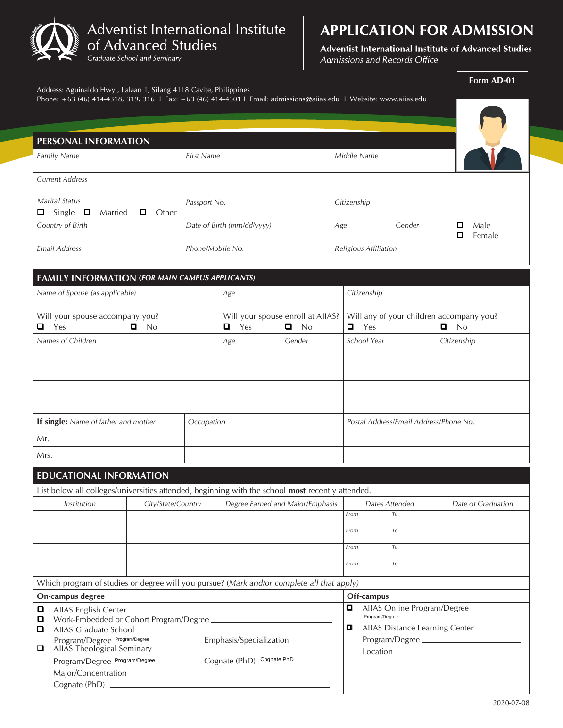

# **APPLICATION FOR ADMISSION**

Adventist International Institute of Advanced Studies Admissions and Records Office

|                                                                                           | Address: Aguinaldo Hwy., Lalaan 1, Silang 4118 Cavite, Philippines                                                 |                            |                                                               |                       |             |                                                 |                                                        | Form AD-01         |  |  |  |  |  |
|-------------------------------------------------------------------------------------------|--------------------------------------------------------------------------------------------------------------------|----------------------------|---------------------------------------------------------------|-----------------------|-------------|-------------------------------------------------|--------------------------------------------------------|--------------------|--|--|--|--|--|
|                                                                                           | Phone: +63 (46) 414-4318, 319, 316   Fax: +63 (46) 414-4301   Email: admissions@aiias.edu   Website: www.aiias.edu |                            |                                                               |                       |             |                                                 |                                                        |                    |  |  |  |  |  |
|                                                                                           |                                                                                                                    |                            |                                                               |                       |             |                                                 |                                                        |                    |  |  |  |  |  |
| PERSONAL INFORMATION                                                                      |                                                                                                                    |                            |                                                               |                       |             |                                                 |                                                        |                    |  |  |  |  |  |
| Family Name<br><b>First Name</b>                                                          |                                                                                                                    |                            |                                                               |                       | Middle Name |                                                 |                                                        |                    |  |  |  |  |  |
| <b>Current Address</b>                                                                    |                                                                                                                    |                            |                                                               |                       |             |                                                 |                                                        |                    |  |  |  |  |  |
| $\Box$                                                                                    | <b>Marital Status</b><br>Single $\square$<br>Other<br>Married<br>□                                                 | Passport No.               | Citizenship                                                   |                       |             |                                                 |                                                        |                    |  |  |  |  |  |
|                                                                                           | Country of Birth                                                                                                   | Date of Birth (mm/dd/yyyy) | Age                                                           | Gender                |             | Male<br>ο<br>о<br>Female                        |                                                        |                    |  |  |  |  |  |
|                                                                                           | <b>Email Address</b>                                                                                               | Phone/Mobile No.           |                                                               | Religious Affiliation |             |                                                 |                                                        |                    |  |  |  |  |  |
|                                                                                           |                                                                                                                    |                            |                                                               |                       |             |                                                 |                                                        |                    |  |  |  |  |  |
| <b>FAMILY INFORMATION (FOR MAIN CAMPUS APPLICANTS)</b><br>Citizenship<br>Age              |                                                                                                                    |                            |                                                               |                       |             |                                                 |                                                        |                    |  |  |  |  |  |
| Name of Spouse (as applicable)                                                            |                                                                                                                    |                            |                                                               |                       |             |                                                 |                                                        |                    |  |  |  |  |  |
| Will your spouse accompany you?<br>$\blacksquare$ Yes<br>$\Box$ No                        |                                                                                                                    |                            | Will your spouse enroll at AIIAS?<br>$\blacksquare$ Yes<br>No |                       |             | Will any of your children accompany you?<br>Yes |                                                        | $\Box$<br>No       |  |  |  |  |  |
|                                                                                           | Names of Children                                                                                                  |                            | Age                                                           | Gender                |             | School Year                                     |                                                        | Citizenship        |  |  |  |  |  |
|                                                                                           |                                                                                                                    |                            |                                                               |                       |             |                                                 |                                                        |                    |  |  |  |  |  |
|                                                                                           |                                                                                                                    |                            |                                                               |                       |             |                                                 |                                                        |                    |  |  |  |  |  |
|                                                                                           |                                                                                                                    |                            |                                                               |                       |             |                                                 |                                                        |                    |  |  |  |  |  |
|                                                                                           |                                                                                                                    |                            |                                                               |                       |             |                                                 |                                                        |                    |  |  |  |  |  |
| If single: Name of father and mother<br>Occupation                                        |                                                                                                                    |                            |                                                               |                       |             | Postal Address/Email Address/Phone No.          |                                                        |                    |  |  |  |  |  |
| Mr.                                                                                       |                                                                                                                    |                            |                                                               |                       |             |                                                 |                                                        |                    |  |  |  |  |  |
| Mrs.                                                                                      |                                                                                                                    |                            |                                                               |                       |             |                                                 |                                                        |                    |  |  |  |  |  |
|                                                                                           | <b>EDUCATIONAL INFORMATION</b>                                                                                     |                            |                                                               |                       |             |                                                 |                                                        |                    |  |  |  |  |  |
|                                                                                           | List below all colleges/universities attended, beginning with the school most recently attended.                   |                            |                                                               |                       |             |                                                 |                                                        |                    |  |  |  |  |  |
| City/State/Country<br>Institution                                                         |                                                                                                                    |                            | Degree Earned and Major/Emphasis                              |                       |             | Dates Attended<br>From                          |                                                        | Date of Graduation |  |  |  |  |  |
|                                                                                           |                                                                                                                    |                            |                                                               |                       |             |                                                 | To                                                     |                    |  |  |  |  |  |
|                                                                                           |                                                                                                                    |                            |                                                               |                       | From        |                                                 | To                                                     |                    |  |  |  |  |  |
|                                                                                           |                                                                                                                    |                            |                                                               |                       | From        |                                                 | To                                                     |                    |  |  |  |  |  |
|                                                                                           |                                                                                                                    |                            |                                                               |                       | From        |                                                 | To                                                     |                    |  |  |  |  |  |
| Which program of studies or degree will you pursue? (Mark and/or complete all that apply) |                                                                                                                    |                            |                                                               |                       |             |                                                 |                                                        |                    |  |  |  |  |  |
|                                                                                           | On-campus degree                                                                                                   |                            |                                                               |                       |             | Off-campus<br>AllAS Online Program/Degree<br>0  |                                                        |                    |  |  |  |  |  |
| ◘<br>□<br>o                                                                               | AllAS English Center<br>Work-Embedded or Cohort Program/Degree<br>AIIAS Graduate School                            |                            |                                                               |                       |             |                                                 | Program/Degree<br>AllAS Distance Learning Center<br>9. |                    |  |  |  |  |  |
| □                                                                                         | Program/Degree Program/Degree<br>Emphasis/Specialization<br>AllAS Theological Seminary                             |                            |                                                               |                       |             | Program/Degree                                  |                                                        |                    |  |  |  |  |  |
|                                                                                           | Cognate (PhD) Cognate PhD<br>Program/Degree Program/Degree                                                         |                            |                                                               |                       |             |                                                 |                                                        |                    |  |  |  |  |  |
|                                                                                           |                                                                                                                    |                            |                                                               |                       |             |                                                 |                                                        |                    |  |  |  |  |  |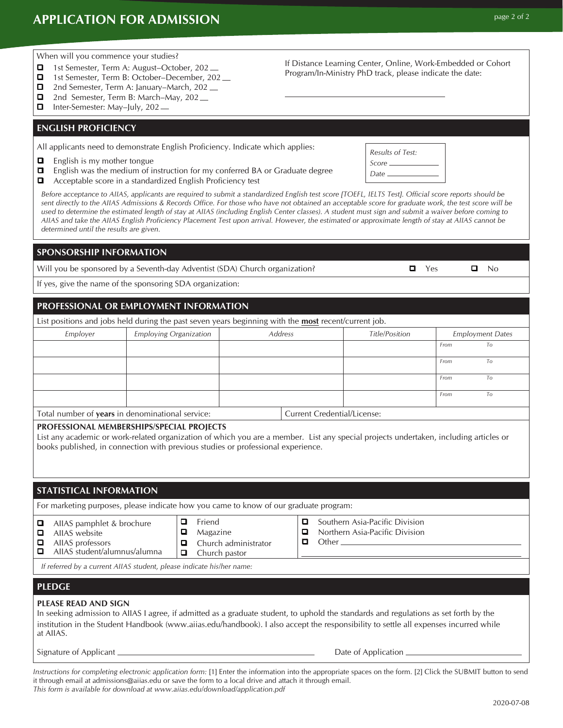# **APPLICATION FOR ADMISSION page 2 of 2**

2020-07-08

#### When will you commence your studies?

- 1st Semester, Term A: August–October, 202 <sub>—</sub>
- 1st Semester, Term B: October–December, 202
- 2nd Semester, Term A: January–March, 202 <sub>—</sub> 2nd Semester, Term B: March–May, 202\_
- 
- Inter-Semester: May-July, 202 —

#### **ENGLISH PROFICIENCY**

All applicants need to demonstrate English Proficiency. Indicate which applies:

- $\Box$  English is my mother tongue
- $\Box$  English was the medium of instruction for my conferred BA or Graduate degree
- Acceptable score in a standardized English Proficiency test

*Before acceptance to AIIAS, applicants are required to submit a standardized English test score [TOEFL, IELTS Test]. Official score reports should be sent directly to the AIIAS Admissions & Records Office. For those who have not obtained an acceptable score for graduate work, the test score will be used to determine the estimated length of stay at AIIAS (including English Center classes). A student must sign and submit a waiver before coming to AIIAS and take the AIIAS English Proficiency Placement Test upon arrival. However, the estimated or approximate length of stay at AIIAS cannot be determined until the results are given.*

### **SPONSORSHIP INFORMATION**

Will you be sponsored by a Seventh-day Adventist (SDA) Church organization?  $\Box$  Yes  $\Box$  No

If yes, give the name of the sponsoring SDA organization:

### **PROFESSIONAL OR EMPLOYMENT INFORMATION**

List positions and jobs held during the past seven years beginning with the **most** recent/current job.

| Employer                                         | Employing Organization | Address                            |  | <b>Title/Position</b> | <b>Employment Dates</b> |              |  |
|--------------------------------------------------|------------------------|------------------------------------|--|-----------------------|-------------------------|--------------|--|
|                                                  |                        |                                    |  |                       | From                    | To           |  |
|                                                  |                        |                                    |  |                       | From                    | $10^{\circ}$ |  |
|                                                  |                        |                                    |  |                       | From                    | $10^{\circ}$ |  |
|                                                  |                        |                                    |  |                       | From                    | To           |  |
| Total number of years in denominational service: |                        | <b>Current Credential/License:</b> |  |                       |                         |              |  |

#### **PROFESSIONAL MEMBERSHIPS/SPECIAL PROJECTS**

List any academic or work-related organization of which you are a member. List any special projects undertaken, including articles or books published, in connection with previous studies or professional experience.

### **STATISTICAL INFORMATION**

For marketing purposes, please indicate how you came to know of our graduate program:

#### **AIIAS** pamphlet & brochure

- AllAS website
- $\Box$  AIIAS professors AIIAS student/alumnus/alumna
	-

# *If referred by a current AIIAS student, please indicate his/her name:*

#### **PLEDGE**

#### **PLEASE READ AND SIGN**

In seeking admission to AIIAS I agree, if admitted as a graduate student, to uphold the standards and regulations as set forth by the institution in the Student Handbook (www.aiias.edu/handbook). I also accept the responsibility to settle all expenses incurred while at AIIAS.

Signature of Applicant Date of Application

Instructions for completing electronic application form: [1] Enter the information into the appropriate spaces on the form. [2] Click the SUBMIT button to send it through email at admissions@aiias.edu or save the form to a local drive and attach it through email. *This form is available for download at www.aiias.edu/download/application.pdf*

If Distance Learning Center, Online, Work-Embedded or Cohort Program/In-Ministry PhD track, please indicate the date:

*Results of Test: Score Date* 

**Q** Friend  $\Box$  Magazine  $\Box$  Church administrator

 $\Box$  Church pastor

- **Q** Southern Asia-Pacific Division Northern Asia-Pacific Division
- D Other